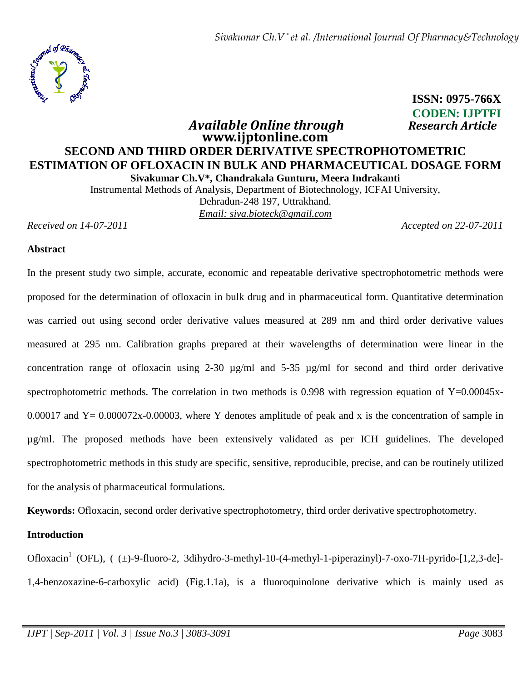

 **ISSN: 0975-766X CODEN: IJPTFI** 

## *Available Online through**Research Article* **www.ijptonline.com SECOND AND THIRD ORDER DERIVATIVE SPECTROPHOTOMETRIC ESTIMATION OF OFLOXACIN IN BULK AND PHARMACEUTICAL DOSAGE FORM Sivakumar Ch.V\*, Chandrakala Gunturu, Meera Indrakanti**

Instrumental Methods of Analysis, Department of Biotechnology, ICFAI University, Dehradun-248 197, Uttrakhand. *Email: siva.bioteck@gmail.com*

*Received on 14-07-2011 Accepted on 22-07-2011*

#### **Abstract**

In the present study two simple, accurate, economic and repeatable derivative spectrophotometric methods were proposed for the determination of ofloxacin in bulk drug and in pharmaceutical form. Quantitative determination was carried out using second order derivative values measured at 289 nm and third order derivative values measured at 295 nm. Calibration graphs prepared at their wavelengths of determination were linear in the concentration range of ofloxacin using 2-30  $\mu$ g/ml and 5-35  $\mu$ g/ml for second and third order derivative spectrophotometric methods. The correlation in two methods is 0.998 with regression equation of Y=0.00045x-0.00017 and  $Y = 0.000072x-0.00003$ , where Y denotes amplitude of peak and x is the concentration of sample in µg/ml. The proposed methods have been extensively validated as per ICH guidelines. The developed spectrophotometric methods in this study are specific, sensitive, reproducible, precise, and can be routinely utilized for the analysis of pharmaceutical formulations.

**Keywords:** Ofloxacin, second order derivative spectrophotometry, third order derivative spectrophotometry.

#### **Introduction**

Ofloxacin<sup>1</sup> (OFL), ( (±)-9-fluoro-2, 3dihydro-3-methyl-10-(4-methyl-1-piperazinyl)-7-oxo-7H-pyrido-[1,2,3-de]-1,4-benzoxazine-6-carboxylic acid) (Fig.1.1a), is a fluoroquinolone derivative which is mainly used as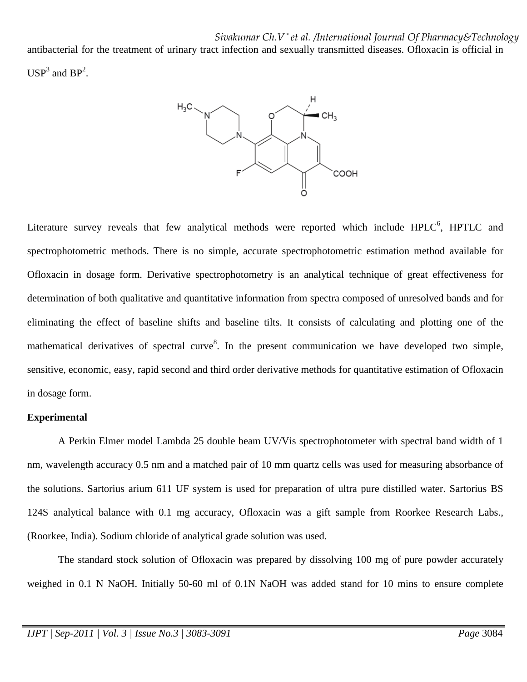*Sivakumar Ch.V \* et al. /International Journal Of Pharmacy&Technology*

antibacterial for the treatment of urinary tract infection and sexually transmitted diseases. Ofloxacin is official in  $USP<sup>3</sup>$  and  $BP<sup>2</sup>$ .



Literature survey reveals that few analytical methods were reported which include  $HPLC^6$ ,  $HPTLC$  and spectrophotometric methods. There is no simple, accurate spectrophotometric estimation method available for Ofloxacin in dosage form. Derivative spectrophotometry is an analytical technique of great effectiveness for determination of both qualitative and quantitative information from spectra composed of unresolved bands and for eliminating the effect of baseline shifts and baseline tilts. It consists of calculating and plotting one of the mathematical derivatives of spectral curve<sup>8</sup>. In the present communication we have developed two simple, sensitive, economic, easy, rapid second and third order derivative methods for quantitative estimation of Ofloxacin in dosage form.

#### **Experimental**

 A Perkin Elmer model Lambda 25 double beam UV/Vis spectrophotometer with spectral band width of 1 nm, wavelength accuracy 0.5 nm and a matched pair of 10 mm quartz cells was used for measuring absorbance of the solutions. Sartorius arium 611 UF system is used for preparation of ultra pure distilled water. Sartorius BS 124S analytical balance with 0.1 mg accuracy, Ofloxacin was a gift sample from Roorkee Research Labs., (Roorkee, India). Sodium chloride of analytical grade solution was used.

 The standard stock solution of Ofloxacin was prepared by dissolving 100 mg of pure powder accurately weighed in 0.1 N NaOH. Initially 50-60 ml of 0.1N NaOH was added stand for 10 mins to ensure complete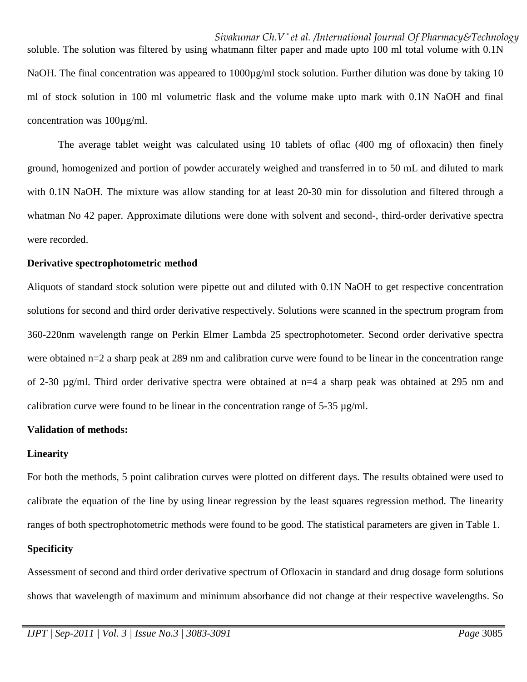soluble. The solution was filtered by using whatmann filter paper and made upto 100 ml total volume with 0.1N NaOH. The final concentration was appeared to 1000µg/ml stock solution. Further dilution was done by taking 10 ml of stock solution in 100 ml volumetric flask and the volume make upto mark with 0.1N NaOH and final concentration was 100µg/ml.

 The average tablet weight was calculated using 10 tablets of oflac (400 mg of ofloxacin) then finely ground, homogenized and portion of powder accurately weighed and transferred in to 50 mL and diluted to mark with 0.1N NaOH. The mixture was allow standing for at least 20-30 min for dissolution and filtered through a whatman No 42 paper. Approximate dilutions were done with solvent and second-, third-order derivative spectra were recorded.

#### **Derivative spectrophotometric method**

Aliquots of standard stock solution were pipette out and diluted with 0.1N NaOH to get respective concentration solutions for second and third order derivative respectively. Solutions were scanned in the spectrum program from 360-220nm wavelength range on Perkin Elmer Lambda 25 spectrophotometer. Second order derivative spectra were obtained n=2 a sharp peak at 289 nm and calibration curve were found to be linear in the concentration range of 2-30 µg/ml. Third order derivative spectra were obtained at n=4 a sharp peak was obtained at 295 nm and calibration curve were found to be linear in the concentration range of  $5-35 \mu g/ml$ .

#### **Validation of methods:**

#### **Linearity**

For both the methods, 5 point calibration curves were plotted on different days. The results obtained were used to calibrate the equation of the line by using linear regression by the least squares regression method. The linearity ranges of both spectrophotometric methods were found to be good. The statistical parameters are given in Table 1.

#### **Specificity**

Assessment of second and third order derivative spectrum of Ofloxacin in standard and drug dosage form solutions shows that wavelength of maximum and minimum absorbance did not change at their respective wavelengths. So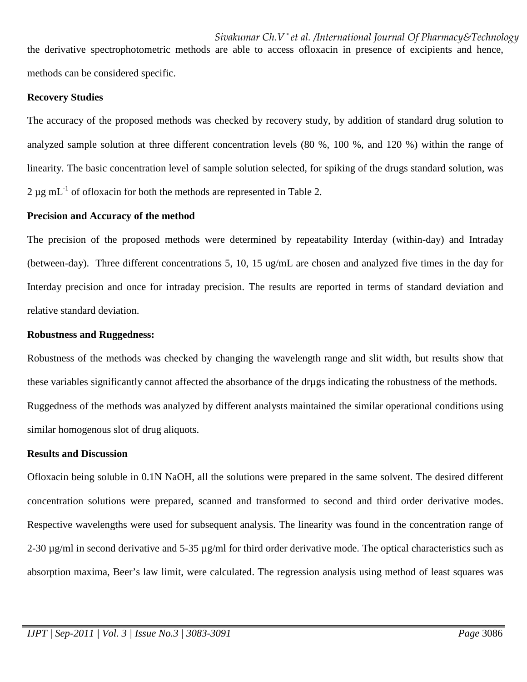*Sivakumar Ch.V \* et al. /International Journal Of Pharmacy&Technology* the derivative spectrophotometric methods are able to access ofloxacin in presence of excipients and hence, methods can be considered specific.

#### **Recovery Studies**

The accuracy of the proposed methods was checked by recovery study, by addition of standard drug solution to analyzed sample solution at three different concentration levels (80 %, 100 %, and 120 %) within the range of linearity. The basic concentration level of sample solution selected, for spiking of the drugs standard solution, was  $2 \mu$ g mL<sup>-1</sup> of ofloxacin for both the methods are represented in Table 2.

#### **Precision and Accuracy of the method**

The precision of the proposed methods were determined by repeatability Interday (within-day) and Intraday (between-day). Three different concentrations 5, 10, 15 ug/mL are chosen and analyzed five times in the day for Interday precision and once for intraday precision. The results are reported in terms of standard deviation and relative standard deviation.

#### **Robustness and Ruggedness:**

Robustness of the methods was checked by changing the wavelength range and slit width, but results show that these variables significantly cannot affected the absorbance of the drµgs indicating the robustness of the methods. Ruggedness of the methods was analyzed by different analysts maintained the similar operational conditions using similar homogenous slot of drug aliquots.

#### **Results and Discussion**

Ofloxacin being soluble in 0.1N NaOH, all the solutions were prepared in the same solvent. The desired different concentration solutions were prepared, scanned and transformed to second and third order derivative modes. Respective wavelengths were used for subsequent analysis. The linearity was found in the concentration range of 2-30  $\mu$ g/ml in second derivative and 5-35  $\mu$ g/ml for third order derivative mode. The optical characteristics such as absorption maxima, Beer's law limit, were calculated. The regression analysis using method of least squares was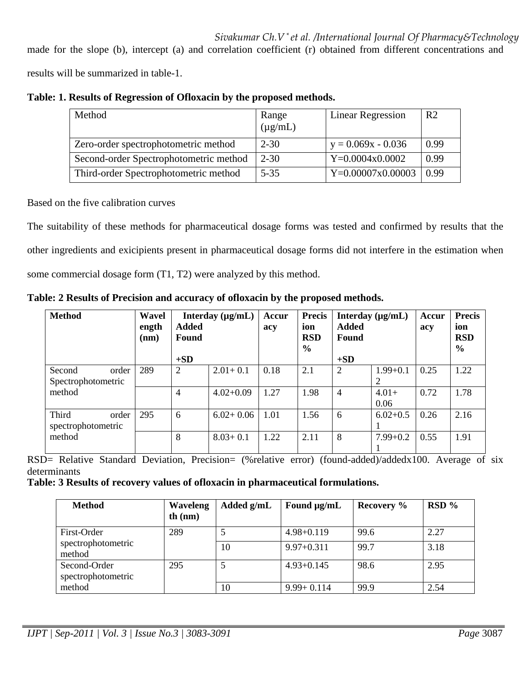## *Sivakumar Ch.V \* et al. /International Journal Of Pharmacy&Technology*

made for the slope (b), intercept (a) and correlation coefficient (r) obtained from different concentrations and

results will be summarized in table-1.

| Method                                 | Range<br>$(\mu g/mL)$ | <b>Linear Regression</b> | R <sub>2</sub> |
|----------------------------------------|-----------------------|--------------------------|----------------|
| Zero-order spectrophotometric method   | $2 - 30$              | $y = 0.069x - 0.036$     | 0.99           |
| Second-order Spectrophotometric method | $2 - 30$              | $Y=0.0004x0.0002$        | 0.99           |
| Third-order Spectrophotometric method  | $5 - 35$              | $Y=0.00007x0.00003$      | 0.99           |

Based on the five calibration curves

The suitability of these methods for pharmaceutical dosage forms was tested and confirmed by results that the other ingredients and exicipients present in pharmaceutical dosage forms did not interfere in the estimation when some commercial dosage form (T1, T2) were analyzed by this method.

**Table: 2 Results of Precision and accuracy of ofloxacin by the proposed methods.** 

| <b>Method</b>                         | Wavel<br>ength<br>(nm) | <b>Added</b><br>Found<br>$+SD$ | Interday $(\mu g/mL)$ | Accur<br>acy | <b>Precis</b><br>ion<br><b>RSD</b><br>$\frac{6}{6}$ | <b>Added</b><br>Found<br>$+SD$ | Interday $(\mu g/mL)$ | Accur<br>acy | <b>Precis</b><br>ion<br><b>RSD</b><br>$\frac{6}{6}$ |
|---------------------------------------|------------------------|--------------------------------|-----------------------|--------------|-----------------------------------------------------|--------------------------------|-----------------------|--------------|-----------------------------------------------------|
| Second<br>order<br>Spectrophotometric | 289                    | $\overline{2}$                 | $2.01 + 0.1$          | 0.18         | 2.1                                                 | 2                              | $1.99 + 0.1$          | 0.25         | 1.22                                                |
| method                                |                        | $\overline{4}$                 | $4.02 + 0.09$         | 1.27         | 1.98                                                | 4                              | $4.01+$<br>0.06       | 0.72         | 1.78                                                |
| Third<br>order<br>spectrophotometric  | 295                    | 6                              | $6.02 + 0.06$         | 1.01         | 1.56                                                | 6                              | $6.02+0.5$            | 0.26         | 2.16                                                |
| method                                |                        | 8                              | $8.03 + 0.1$          | 1.22         | 2.11                                                | 8                              | $7.99 + 0.2$          | 0.55         | 1.91                                                |

RSD= Relative Standard Deviation, Precision= (%relative error) (found-added)/addedx100. Average of six determinants

**Table: 3 Results of recovery values of ofloxacin in pharmaceutical formulations.** 

| <b>Method</b>                      | <b>Waveleng</b><br>th $(nm)$ | Added g/mL | Found $\mu$ g/mL | Recovery % | $RSD\%$ |
|------------------------------------|------------------------------|------------|------------------|------------|---------|
| First-Order                        | 289                          |            | $4.98 + 0.119$   | 99.6       | 2.27    |
| spectrophotometric<br>method       |                              | 10         | $9.97+0.311$     | 99.7       | 3.18    |
| Second-Order<br>spectrophotometric | 295                          |            | $4.93 + 0.145$   | 98.6       | 2.95    |
| method                             |                              | 10         | $9.99 + 0.114$   | 99.9       | 2.54    |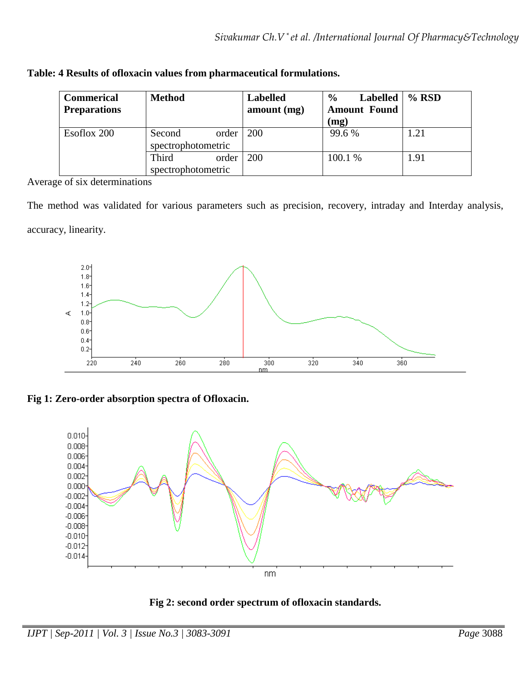| <b>Commerical</b><br><b>Preparations</b> | <b>Method</b>                           | <b>Labelled</b><br>amount (mg) | $\frac{0}{0}$<br><b>Labelled</b><br><b>Amount Found</b><br>(mg) | $%$ RSD |
|------------------------------------------|-----------------------------------------|--------------------------------|-----------------------------------------------------------------|---------|
| Esoflox 200                              | Second<br>order  <br>spectrophotometric | <b>200</b>                     | 99.6 %                                                          | 1.21    |
|                                          | Third<br>order<br>spectrophotometric    | 200                            | 100.1 %                                                         | 1.91    |

Average of six determinations

The method was validated for various parameters such as precision, recovery, intraday and Interday analysis, accuracy, linearity.



**Fig 1: Zero-order absorption spectra of Ofloxacin.** 



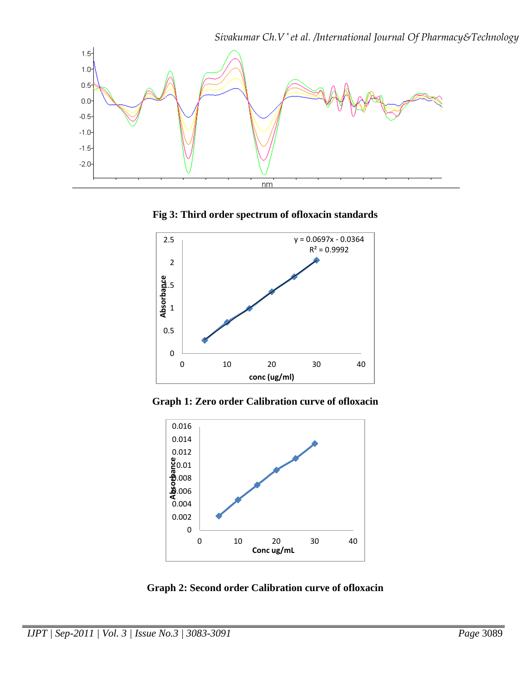

**Fig 3: Third order spectrum of ofloxacin standards** 



**Graph 1: Zero order Calibration curve of ofloxacin** 



**Graph 2: Second order Calibration curve of ofloxacin**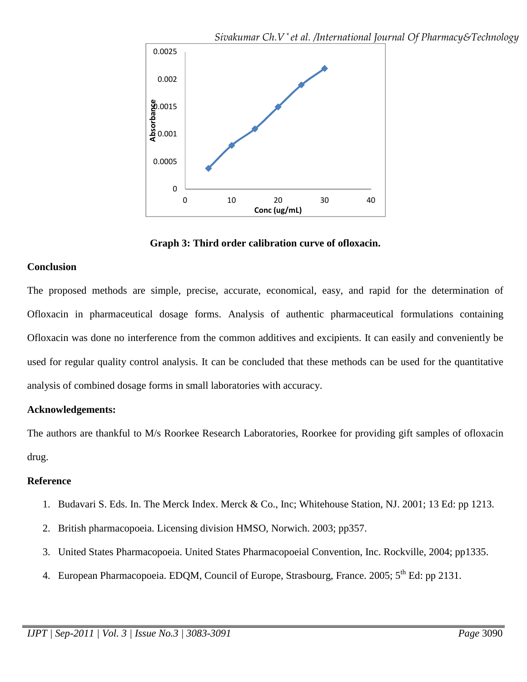

**Graph 3: Third order calibration curve of ofloxacin.** 

### **Conclusion**

The proposed methods are simple, precise, accurate, economical, easy, and rapid for the determination of Ofloxacin in pharmaceutical dosage forms. Analysis of authentic pharmaceutical formulations containing Ofloxacin was done no interference from the common additives and excipients. It can easily and conveniently be used for regular quality control analysis. It can be concluded that these methods can be used for the quantitative analysis of combined dosage forms in small laboratories with accuracy.

### **Acknowledgements:**

The authors are thankful to M/s Roorkee Research Laboratories, Roorkee for providing gift samples of ofloxacin drug.

### **Reference**

- 1. Budavari S. Eds. In. The Merck Index. Merck & Co., Inc; Whitehouse Station, NJ. 2001; 13 Ed: pp 1213.
- 2. British pharmacopoeia. Licensing division HMSO, Norwich. 2003; pp357.
- 3. United States Pharmacopoeia. United States Pharmacopoeial Convention, Inc. Rockville, 2004; pp1335.
- 4. European Pharmacopoeia. EDQM, Council of Europe, Strasbourg, France. 2005; 5<sup>th</sup> Ed: pp 2131.